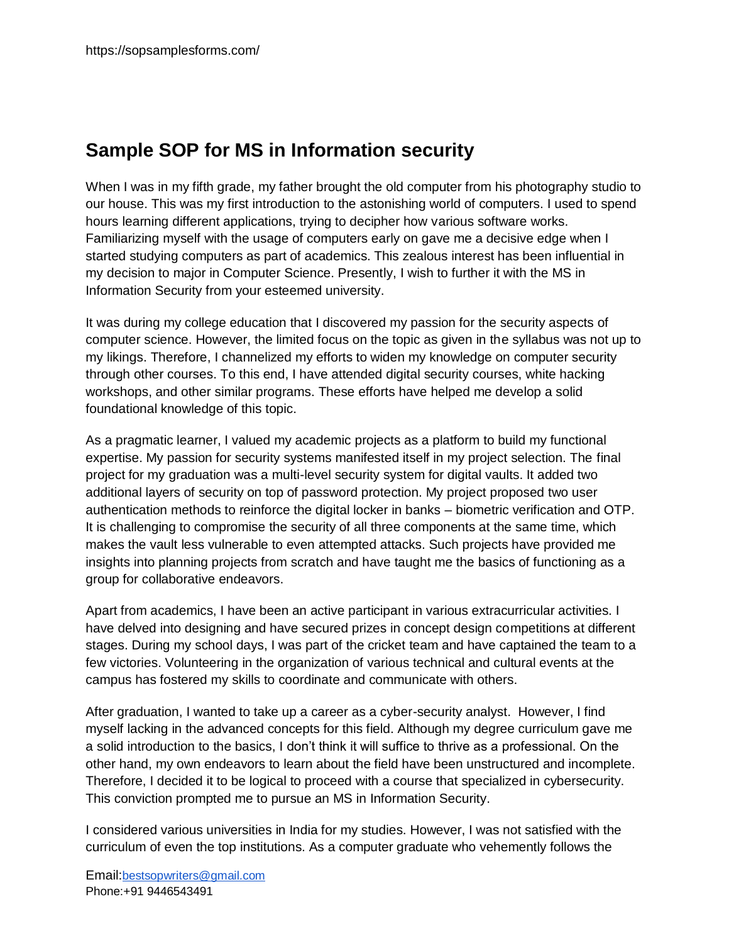## **Sample SOP for MS in Information security**

When I was in my fifth grade, my father brought the old computer from his photography studio to our house. This was my first introduction to the astonishing world of computers. I used to spend hours learning different applications, trying to decipher how various software works. Familiarizing myself with the usage of computers early on gave me a decisive edge when I started studying computers as part of academics. This zealous interest has been influential in my decision to major in Computer Science. Presently, I wish to further it with the MS in Information Security from your esteemed university.

It was during my college education that I discovered my passion for the security aspects of computer science. However, the limited focus on the topic as given in the syllabus was not up to my likings. Therefore, I channelized my efforts to widen my knowledge on computer security through other courses. To this end, I have attended digital security courses, white hacking workshops, and other similar programs. These efforts have helped me develop a solid foundational knowledge of this topic.

As a pragmatic learner, I valued my academic projects as a platform to build my functional expertise. My passion for security systems manifested itself in my project selection. The final project for my graduation was a multi-level security system for digital vaults. It added two additional layers of security on top of password protection. My project proposed two user authentication methods to reinforce the digital locker in banks – biometric verification and OTP. It is challenging to compromise the security of all three components at the same time, which makes the vault less vulnerable to even attempted attacks. Such projects have provided me insights into planning projects from scratch and have taught me the basics of functioning as a group for collaborative endeavors.

Apart from academics, I have been an active participant in various extracurricular activities. I have delved into designing and have secured prizes in concept design competitions at different stages. During my school days, I was part of the cricket team and have captained the team to a few victories. Volunteering in the organization of various technical and cultural events at the campus has fostered my skills to coordinate and communicate with others.

After graduation, I wanted to take up a career as a cyber-security analyst. However, I find myself lacking in the advanced concepts for this field. Although my degree curriculum gave me a solid introduction to the basics, I don't think it will suffice to thrive as a professional. On the other hand, my own endeavors to learn about the field have been unstructured and incomplete. Therefore, I decided it to be logical to proceed with a course that specialized in cybersecurity. This conviction prompted me to pursue an MS in Information Security.

I considered various universities in India for my studies. However, I was not satisfied with the curriculum of even the top institutions. As a computer graduate who vehemently follows the

Email:[bestsopwriters@gmail.com](mailto:bestsopwriters@gmail.com) Phone:+91 9446543491